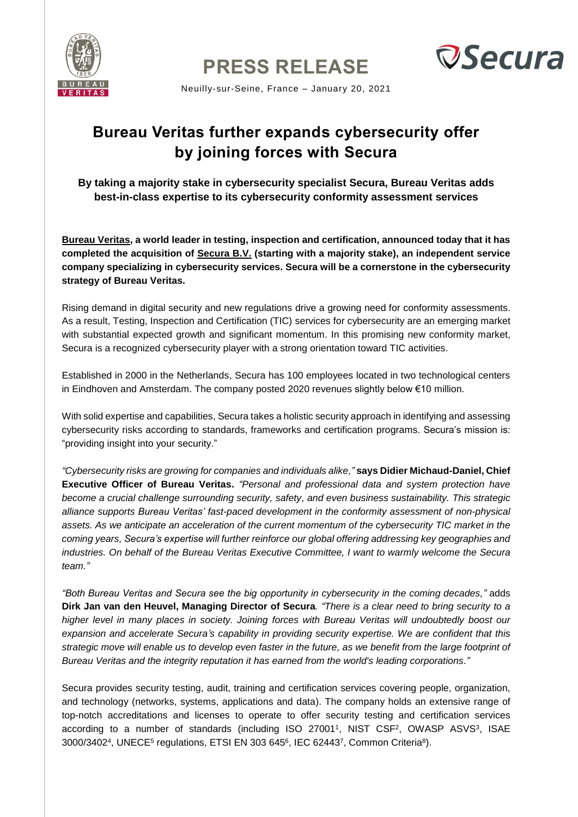

**PRESS RELEASE**



Neuilly-sur-Seine, France – January 20, 2021

## **Bureau Veritas further expands cybersecurity offer by joining forces with Secura**

**By taking a majority stake in cybersecurity specialist Secura, Bureau Veritas adds best-in-class expertise to its cybersecurity conformity assessment services** 

**[Bureau Veritas,](https://group.bureauveritas.com/) a world leader in testing, inspection and certification, announced today that it has completed the acquisition of [Secura B.V.](https://www.secura.com/) (starting with a majority stake), an independent service company specializing in cybersecurity services. Secura will be a cornerstone in the cybersecurity strategy of Bureau Veritas.**

Rising demand in digital security and new regulations drive a growing need for conformity assessments. As a result, Testing, Inspection and Certification (TIC) services for cybersecurity are an emerging market with substantial expected growth and significant momentum. In this promising new conformity market, Secura is a recognized cybersecurity player with a strong orientation toward TIC activities.

Established in 2000 in the Netherlands, Secura has 100 employees located in two technological centers in Eindhoven and Amsterdam. The company posted 2020 revenues slightly below €10 million.

With solid expertise and capabilities, Secura takes a holistic security approach in identifying and assessing cybersecurity risks according to standards, frameworks and certification programs. Secura's mission is: "providing insight into your security."

*"Cybersecurity risks are growing for companies and individuals alike,"* **says Didier Michaud-Daniel, Chief Executive Officer of Bureau Veritas.** *"Personal and professional data and system protection have become a crucial challenge surrounding security, safety, and even business sustainability. This strategic alliance supports Bureau Veritas' fast-paced development in the conformity assessment of non-physical assets. As we anticipate an acceleration of the current momentum of the cybersecurity TIC market in the coming years, Secura's expertise will further reinforce our global offering addressing key geographies and industries. On behalf of the Bureau Veritas Executive Committee, I want to warmly welcome the Secura team."*

*"Both Bureau Veritas and Secura see the big opportunity in cybersecurity in the coming decades,"* adds **Dirk Jan van den Heuvel, Managing Director of Secura***. "There is a clear need to bring security to a higher level in many places in society. Joining forces with Bureau Veritas will undoubtedly boost our expansion and accelerate Secura's capability in providing security expertise. We are confident that this strategic move will enable us to develop even faster in the future, as we benefit from the large footprint of Bureau Veritas and the integrity reputation it has earned from the world's leading corporations."*

Secura provides security testing, audit, training and certification services covering people, organization, and technology (networks, systems, applications and data). The company holds an extensive range of top-notch accreditations and licenses to operate to offer security testing and certification services according to a number of standards (including ISO 27001<sup>1</sup>, NIST CSF<sup>2</sup>, OWASP ASVS<sup>3</sup>, ISAE 3000/3402<sup>4</sup>, UNECE<sup>5</sup> regulations, ETSI EN 303 645<sup>6</sup>, IEC 62443<sup>7</sup>, Common Criteria<sup>8</sup>).